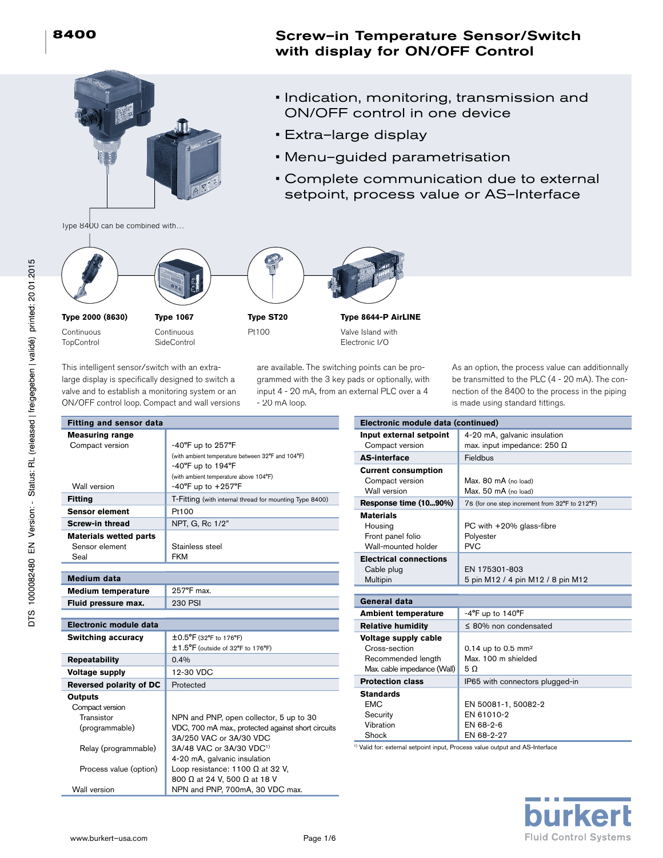# Screw–in Temperature Sensor/Switch with display for ON/OFF Control

- 
- Indication, monitoring, transmission and ON/OFF control in one device
- Extra–large display
- Menu–guided parametrisation
- Complete communication due to external setpoint, process value or AS–Interface

Type 8400 can be combined with…



**Type 2000 (8630)**

Continuous **TopControl** 

**Fitting Measur** 

**Type 1067** Continuous **SideControl** 



**Type ST20** Pt100



**Type 8644-P AirLINE** Valve Island with Electronic I/O

This intelligent sensor/switch with an extralarge display is specifically designed to switch a valve and to establish a monitoring system or an ON/OFF control loop. Compact and wall versions are available. The switching points can be programmed with the 3 key pads or optionally, with input 4 - 20 mA, from an external PLC over a 4 - 20 mA loop.

As an option, the process value can additionnally be transmitted to the PLC (4 - 20 mA). The connection of the 8400 to the process in the piping is made using standard fittings.

| Fitting and sensor data        |                                                                                  | <b>Electronic mo</b>                 |
|--------------------------------|----------------------------------------------------------------------------------|--------------------------------------|
| <b>Measuring range</b>         |                                                                                  | Input external                       |
| Compact version                | $-40^{\circ}$ F up to 257 $^{\circ}$ F                                           | Compact vers                         |
|                                | (with ambient temperature between 32°F and 104°F)                                | <b>AS-interface</b>                  |
|                                | $-40^{\circ}$ F up to 194 $^{\circ}$ F                                           | <b>Current consu</b>                 |
| Wall version                   | (with ambient temperature above 104°F)<br>$-40^{\circ}$ F up to $+257^{\circ}$ F | Compact vers                         |
|                                |                                                                                  | Wall version                         |
| <b>Fitting</b>                 | T-Fitting (with internal thread for mounting Type 8400)                          | <b>Response time</b>                 |
| <b>Sensor element</b>          | Pt100                                                                            | <b>Materials</b>                     |
| <b>Screw-in thread</b>         | NPT, G, Rc 1/2"                                                                  | Housing                              |
| <b>Materials wetted parts</b>  |                                                                                  | Front panel fo                       |
| Sensor element                 | Stainless steel                                                                  | Wall-mounted                         |
| Seal                           | <b>FKM</b>                                                                       | <b>Electrical con</b>                |
|                                |                                                                                  | Cable plug                           |
| <b>Medium data</b>             |                                                                                  | Multipin                             |
| <b>Medium temperature</b>      | 257°F max.                                                                       |                                      |
| Fluid pressure max.            | <b>230 PSI</b>                                                                   | General data                         |
|                                |                                                                                  | <b>Ambient temp</b>                  |
| <b>Electronic module data</b>  |                                                                                  | <b>Relative humi</b>                 |
| <b>Switching accuracy</b>      | ±0.5°F (32°F to 176°F)                                                           | Voltage suppl                        |
|                                | ±1.5°F (outside of 32°F to 176°F)                                                | Cross-section                        |
| <b>Repeatability</b>           | 0.4%                                                                             | Recommende                           |
| <b>Voltage supply</b>          | 12-30 VDC                                                                        | Max. cable impe                      |
| <b>Reversed polarity of DC</b> | Protected                                                                        | <b>Protection cla</b>                |
| <b>Outputs</b>                 |                                                                                  | <b>Standards</b>                     |
| Compact version                |                                                                                  | <b>EMC</b>                           |
| Transistor                     | NPN and PNP, open collector, 5 up to 30                                          | Security                             |
| (programmable)                 | VDC, 700 mA max., protected against short circuits                               | Vibration                            |
|                                | 3A/250 VAC or 3A/30 VDC                                                          | Shock                                |
| Relay (programmable)           | 3A/48 VAC or 3A/30 VDC <sup>1)</sup>                                             | <sup>1)</sup> Valid for: external se |
|                                | 4-20 mA, galvanic insulation                                                     |                                      |
| Process value (option)         | Loop resistance: 1100 $\Omega$ at 32 V,                                          |                                      |
|                                | 800 Ω at 24 V, 500 Ω at 18 V                                                     |                                      |
| Wall version                   | NPN and PNP, 700mA, 30 VDC max.                                                  |                                      |

| Electronic module data (continued)                                                         |                                                              |
|--------------------------------------------------------------------------------------------|--------------------------------------------------------------|
| Input external setpoint                                                                    | 4-20 mA, galvanic insulation                                 |
| Compact version                                                                            | max. input impedance: 250 $\Omega$                           |
| <b>AS-interface</b>                                                                        | Fieldbus                                                     |
| <b>Current consumption</b>                                                                 |                                                              |
| Compact version                                                                            | Max. 80 mA (no load)                                         |
| Wall version                                                                               | Max. 50 mA (no load)                                         |
| Response time (1090%)                                                                      | 7s (for one step increment from 32°F to 212°F)               |
| <b>Materials</b><br>Housing<br>Front panel folio<br>Wall-mounted holder                    | PC with $+20\%$ glass-fibre<br>Polyester<br><b>PVC</b>       |
| <b>Electrical connections</b><br>Cable plug<br>Multipin                                    | EN 175301-803<br>5 pin M12 / 4 pin M12 / 8 pin M12           |
| General data                                                                               |                                                              |
|                                                                                            |                                                              |
| <b>Ambient temperature</b>                                                                 | $-4$ <sup>o</sup> F up to 140 <sup>o</sup> F                 |
| <b>Relative humidity</b>                                                                   | $\leq$ 80% non condensated                                   |
| Voltage supply cable<br>Cross-section<br>Recommended length<br>Max. cable impedance (Wall) | 0.14 up to 0.5 mm <sup>2</sup><br>Max. 100 m shielded<br>5 O |
| <b>Protection class</b>                                                                    | IP65 with connectors plugged-in                              |
| <b>Standards</b><br><b>FMC</b><br>Security                                                 | EN 50081-1, 50082-2<br>EN 61010-2                            |

etpoint input, Process value output and AS-Interface

EN 68-2-6 EN 68-2-27

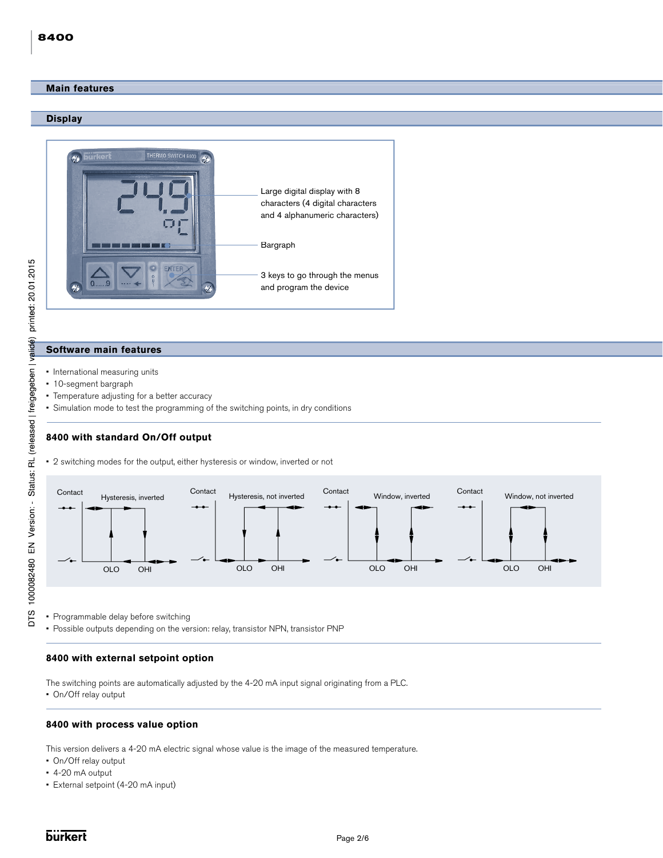#### **Main features and the second contract of the second contract of the second contract of the second contract of**

#### **Display**



# printed: 20 01 2015 DTS 1000082480 EN Version: - Status: RL (released | freigegeben | validé)

**Software main features**

- International measuring units
- 10-segment bargraph
- Temperature adjusting for a better accuracy
- Simulation mode to test the programming of the switching points, in dry conditions

# **8400 with standard On/Off output**

• 2 switching modes for the output, either hysteresis or window, inverted or not



• Programmable delay before switching

• Possible outputs depending on the version: relay, transistor NPN, transistor PNP

### **8400 with external setpoint option**

The switching points are automatically adjusted by the 4-20 mA input signal originating from a PLC.

• On/Off relay output

#### **8400 with process value option**

This version delivers a 4-20 mA electric signal whose value is the image of the measured temperature.

- On/Off relay output
- 4-20 mA output
- External setpoint (4-20 mA input)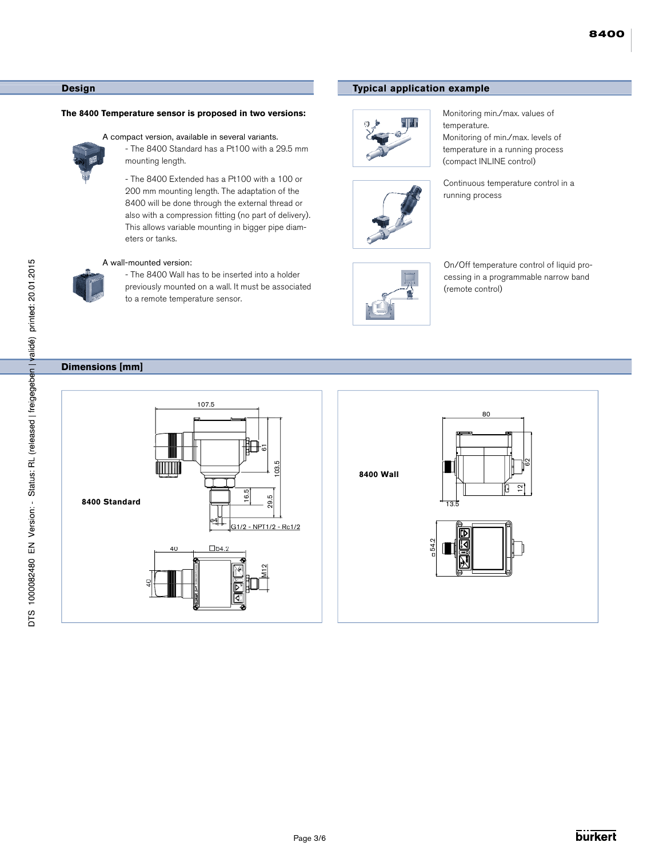#### **Main features Design**

#### **The 8400 Temperature sensor is proposed in two versions:**



A compact version, available in several variants.

 - The 8400 Standard has a Pt100 with a 29.5 mm mounting length.

 - The 8400 Extended has a Pt100 with a 100 or 200 mm mounting length. The adaptation of the 8400 will be done through the external thread or also with a compression fitting (no part of delivery). This allows variable mounting in bigger pipe diam eters or tanks.

#### A wall-mounted version:



 - The 8400 Wall has to be inserted into a holder previously mounted on a wall. It must be associated to a remote temperature sensor.

# **Dimensions [mm]**





# **Typical application example**



Monitoring min./max. values of temperature. Monitoring of min./max. levels of temperature in a running process (compact INLINE control)



Continuous temperature control in a running process



On/Off temperature control of liquid processing in a programmable narrow band (remote control)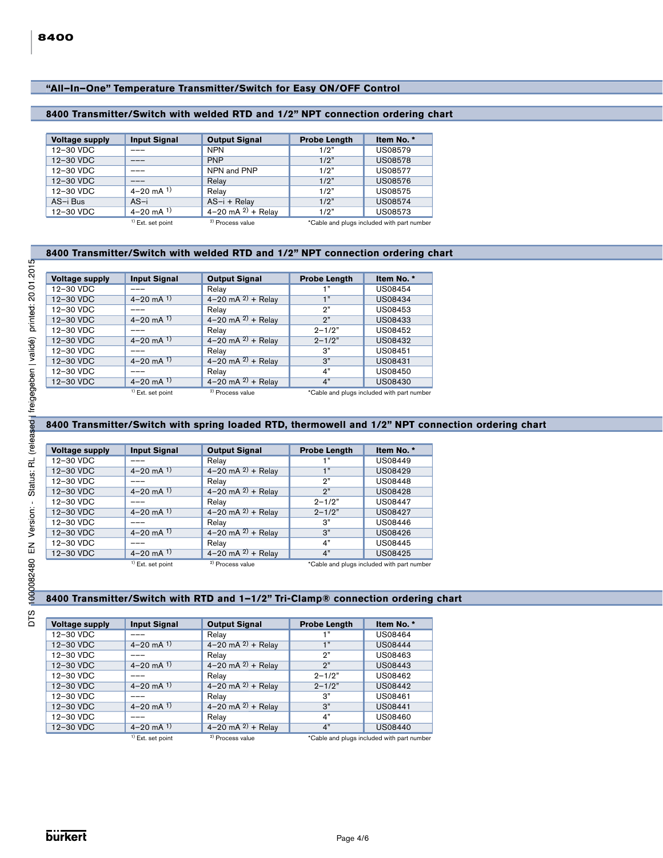# **"All–In–One" Temperature Transmitter/Switch for Easy ON/OFF Control "All–In–One" Temperature Transmitter/Switch for Easy ON/OFF Control**

# **8400 Transmitter/Switch with welded RTD and 1/2" NPT connection ordering chart**

| <b>Voltage supply</b> | <b>Input Signal</b> | <b>Output Signal</b>        | <b>Probe Length</b> | Item No. *                                 |
|-----------------------|---------------------|-----------------------------|---------------------|--------------------------------------------|
| 12-30 VDC             |                     | <b>NPN</b>                  | 1/2"                | <b>US08579</b>                             |
| 12-30 VDC             | ---                 | <b>PNP</b>                  | 1/2"                | <b>US08578</b>                             |
| 12-30 VDC             |                     | NPN and PNP                 | 1/2"                | <b>US08577</b>                             |
| 12-30 VDC             |                     | Relay                       | 1/2"                | <b>US08576</b>                             |
| 12-30 VDC             | $4 - 20$ mA $1$ )   | Relay                       | 1/2 <sup>n</sup>    | <b>US08575</b>                             |
| AS-i Bus              | $AS-i$              | AS-i + Relay                | 1/2"                | <b>US08574</b>                             |
| 12-30 VDC             | $4 - 20$ mA $1$ )   | 4-20 mA $^{2)}$ + Relay     | 1/2"                | US08573                                    |
|                       | $1$ Ext. set point  | <sup>2)</sup> Process value |                     | *Cable and plugs included with part number |

#### **8400 Transmitter/Switch with welded RTD and 1/2" NPT connection ordering chart**

| <b>Voltage supply</b> | <b>Input Signal</b> | <b>Output Signal</b>        | <b>Probe Length</b> | Item No. *                                 |
|-----------------------|---------------------|-----------------------------|---------------------|--------------------------------------------|
| 12-30 VDC             |                     | Relay                       | $+$ "               | US08454                                    |
| 12-30 VDC             | $4 - 20$ mA $^{1}$  | $4 - 20$ mA $^{2)}$ + Relay | 1 <sup>n</sup>      | US08434                                    |
| 12-30 VDC             |                     | Relay                       | י פ                 | US08453                                    |
| 12-30 VDC             | $4 - 20$ mA $^{1}$  | 4-20 mA $^{2)}$ + Relay     | י?                  | US08433                                    |
| 12-30 VDC             |                     | Relay                       | $2 - 1/2"$          | US08452                                    |
| 12-30 VDC             | $4 - 20$ mA $^{1}$  | 4-20 mA $^{2)}$ + Relay     | $2 - 1/2"$          | US08432                                    |
| 12-30 VDC             |                     | Relay                       | 3"                  | US08451                                    |
| 12-30 VDC             | $4 - 20$ mA $^{1}$  | 4-20 mA $^{2)}$ + Relay     | 3"                  | US08431                                    |
| 12-30 VDC             |                     | Relay                       | 4"                  | US08450                                    |
| 12-30 VDC             | $4 - 20$ mA $^{1}$  | $4 - 20$ mA $^{2)}$ + Relay | 4"                  | US08430                                    |
|                       | $1$ Ext. set point  | <sup>2)</sup> Process value |                     | *Cable and plugs included with part number |

# **8400 Transmitter/Switch with spring loaded RTD, thermowell and 1/2" NPT connection ordering chart**

| <b>Voltage supply</b> | <b>Input Signal</b> | <b>Output Signal</b>        | <b>Probe Length</b> | Item No. *                                 |
|-----------------------|---------------------|-----------------------------|---------------------|--------------------------------------------|
| 12-30 VDC             |                     | Relay                       | 1"                  | US08449                                    |
| 12-30 VDC             | $4 - 20$ mA $^{1}$  | 4–20 mA $^{2)}$ + Relay     | 1 <sup>n</sup>      | US08429                                    |
| 12-30 VDC             |                     | Relay                       | י פ                 | <b>US08448</b>                             |
| 12-30 VDC             | $4 - 20$ mA $1$ )   | 4–20 mA $^{2)}$ + Relay     | 2"                  | <b>US08428</b>                             |
| 12-30 VDC             |                     | Relay                       | $2 - 1/2"$          | US08447                                    |
| 12-30 VDC             | $4 - 20$ mA $1$     | 4-20 mA $^{2)}$ + Relay     | $2 - 1/2"$          | US08427                                    |
| 12-30 VDC             |                     | Relay                       | 3"                  | US08446                                    |
| 12-30 VDC             | $4 - 20$ mA $1$ )   | 4-20 mA $^{2)}$ + Relay     | 3"                  | US08426                                    |
| 12-30 VDC             |                     | Relay                       | 4"                  | US08445                                    |
| 12-30 VDC             | $4 - 20$ mA $^{1}$  | $4 - 20$ mA $^{2)}$ + Relay | 4"                  | US08425                                    |
|                       | $1$ Ext. set point  | <sup>2)</sup> Process value |                     | *Cable and plugs included with part number |

# **8400 Transmitter/Switch with RTD and 1–1/2" Tri-Clamp® connection ordering chart**

| <b>Voltage supply</b> | <b>Input Signal</b>        | <b>Output Signal</b>        | <b>Probe Length</b> | Item No. *                                 |
|-----------------------|----------------------------|-----------------------------|---------------------|--------------------------------------------|
| 12-30 VDC             |                            | Relay                       | 1"                  | US08464                                    |
| 12-30 VDC             | $4 - 20$ mA $^{1}$         | 4–20 mA $^{2)}$ + Relay     | 1 <sup>n</sup>      | <b>US08444</b>                             |
| 12-30 VDC             |                            | Relay                       | 2"                  | US08463                                    |
| 12-30 VDC             | $4 - 20$ mA $^{1}$         | 4–20 mA $^{2)}$ + Relay     | 2 <sup>n</sup>      | US08443                                    |
| 12-30 VDC             |                            | Relay                       | $2 - 1/2"$          | US08462                                    |
| 12-30 VDC             | $4 - 20$ mA $^{1}$         | $4 - 20$ mA $^{2)}$ + Relay | $2 - 1/2"$          | US08442                                    |
| 12-30 VDC             |                            | Relay                       | 3"                  | <b>US08461</b>                             |
| 12-30 VDC             | $4 - 20$ mA $\overline{1}$ | 4-20 mA $^{2)}$ + Relay     | 3"                  | <b>US08441</b>                             |
| 12-30 VDC             |                            | Relay                       | 4"                  | US08460                                    |
| 12-30 VDC             | $4 - 20$ mA $^{1}$         | $4 - 20$ mA $^{2)}$ + Relay | 4"                  | US08440                                    |
|                       | $1$ Ext. set point         | <sup>2)</sup> Process value |                     | *Cable and plugs included with part number |

DTS 1000082480 EN Version: - Status: RL (released | freigegeben | validé) printed: 20.01.2015

Ī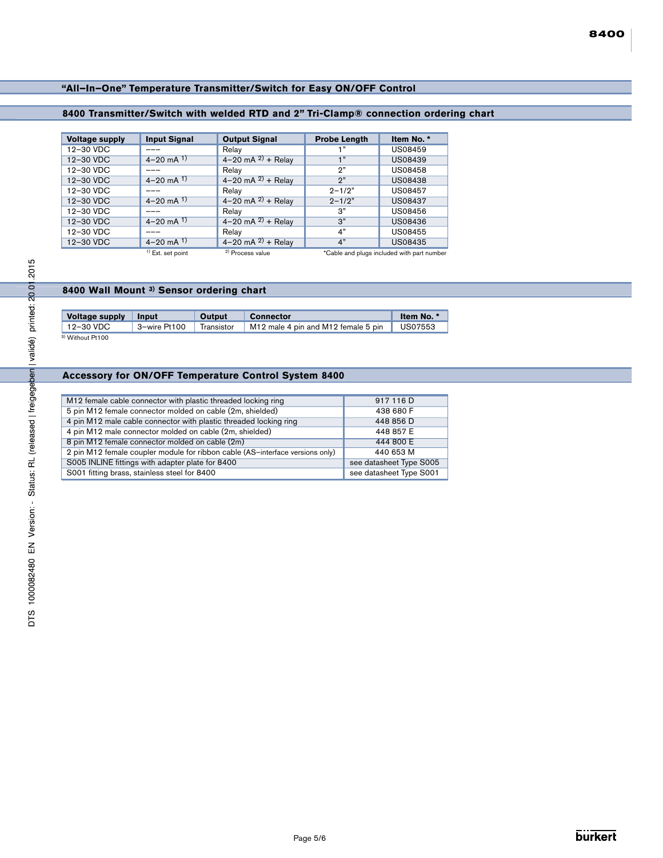# **"All–In–One" Temperature Transmitter/Switch for Easy ON/OFF Control "All–In–One" Temperature Transmitter/Switch for Easy ON/OFF Control**

# **8400 Transmitter/Switch with welded RTD and 2" Tri-Clamp® connection ordering chart**

| <b>Voltage supply</b> | <b>Input Signal</b> | <b>Output Signal</b>        | <b>Probe Length</b> | Item No. *                                 |
|-----------------------|---------------------|-----------------------------|---------------------|--------------------------------------------|
| 12-30 VDC             |                     | Relay                       | 1"                  | <b>US08459</b>                             |
| 12-30 VDC             | $4 - 20$ mA $^{1}$  | $4 - 20$ mA $^{2)}$ + Relay | 1 <sup>n</sup>      | <b>US08439</b>                             |
| 12-30 VDC             |                     | Relay                       | 2"                  | <b>US08458</b>                             |
| 12-30 VDC             | $4 - 20$ mA $^{1}$  | 4-20 mA $^{2)}$ + Relay     | 2"                  | <b>US08438</b>                             |
| 12-30 VDC             |                     | Relay                       | $2 - 1/2"$          | US08457                                    |
| 12-30 VDC             | $4 - 20$ mA $^{1}$  | 4-20 mA $^{2)}$ + Relay     | $2 - 1/2"$          | <b>US08437</b>                             |
| 12-30 VDC             |                     | Relay                       | 3"                  | US08456                                    |
| 12-30 VDC             | $4 - 20$ mA $1$ )   | 4-20 mA $^{2)}$ + Relay     | 3"                  | US08436                                    |
| 12-30 VDC             |                     | Relay                       | 4"                  | <b>US08455</b>                             |
| 12-30 VDC             | $4 - 20$ mA $^{1}$  | 4-20 mA $^{2)}$ + Relay     | 4"                  | <b>US08435</b>                             |
|                       | $1$ Ext. set point  | <sup>2)</sup> Process value |                     | *Cable and plugs included with part number |

| Voltage supply              | <b>Input</b> | Output     | <b>Connector</b>                    | Item No. *     |
|-----------------------------|--------------|------------|-------------------------------------|----------------|
| 12-30 VDC                   | 3-wire Pt100 | Transistor | M12 male 4 pin and M12 female 5 pin | <b>US07553</b> |
| <sup>3)</sup> Without Pt100 |              |            |                                     |                |

# **Accessory for ON/OFF Temperature Control System 8400**

| 2015                                         |                                                                                                                                |                         |               |                                                                               |                         |
|----------------------------------------------|--------------------------------------------------------------------------------------------------------------------------------|-------------------------|---------------|-------------------------------------------------------------------------------|-------------------------|
| printed: 2001                                | 8400 Wall Mount 3) Sensor ordering chart                                                                                       |                         |               |                                                                               |                         |
|                                              |                                                                                                                                |                         |               |                                                                               |                         |
|                                              | <b>Voltage supply</b>                                                                                                          | <b>Input</b>            | <b>Output</b> | <b>Connector</b>                                                              | Item No. *              |
|                                              | 12-30 VDC                                                                                                                      | 3-wire Pt100            | Transistor    | M12 male 4 pin and M12 female 5 pin                                           | US07553                 |
| Status: RL (released   freigegeben   validé) | <sup>3)</sup> Without Pt100                                                                                                    |                         |               |                                                                               |                         |
|                                              |                                                                                                                                |                         |               | Accessory for ON/OFF Temperature Control System 8400                          |                         |
|                                              |                                                                                                                                |                         |               |                                                                               |                         |
|                                              | M12 female cable connector with plastic threaded locking ring                                                                  |                         |               |                                                                               | 917 116 D<br>438 680 F  |
|                                              | 5 pin M12 female connector molded on cable (2m, shielded)<br>4 pin M12 male cable connector with plastic threaded locking ring |                         |               |                                                                               | 448 856 D               |
|                                              | 4 pin M12 male connector molded on cable (2m, shielded)                                                                        |                         |               |                                                                               | 448 857 E               |
|                                              | 8 pin M12 female connector molded on cable (2m)                                                                                |                         |               |                                                                               | 444 800 E               |
|                                              |                                                                                                                                |                         |               | 2 pin M12 female coupler module for ribbon cable (AS-interface versions only) | 440 653 M               |
|                                              | S005 INLINE fittings with adapter plate for 8400                                                                               |                         |               |                                                                               | see datasheet Type S005 |
|                                              | S001 fitting brass, stainless steel for 8400                                                                                   | see datasheet Type S001 |               |                                                                               |                         |
|                                              |                                                                                                                                |                         |               |                                                                               |                         |
| Version:                                     |                                                                                                                                |                         |               |                                                                               |                         |
| 즚                                            |                                                                                                                                |                         |               |                                                                               |                         |
| 1000082480                                   |                                                                                                                                |                         |               |                                                                               |                         |
| <b>DTS</b>                                   |                                                                                                                                |                         |               |                                                                               |                         |